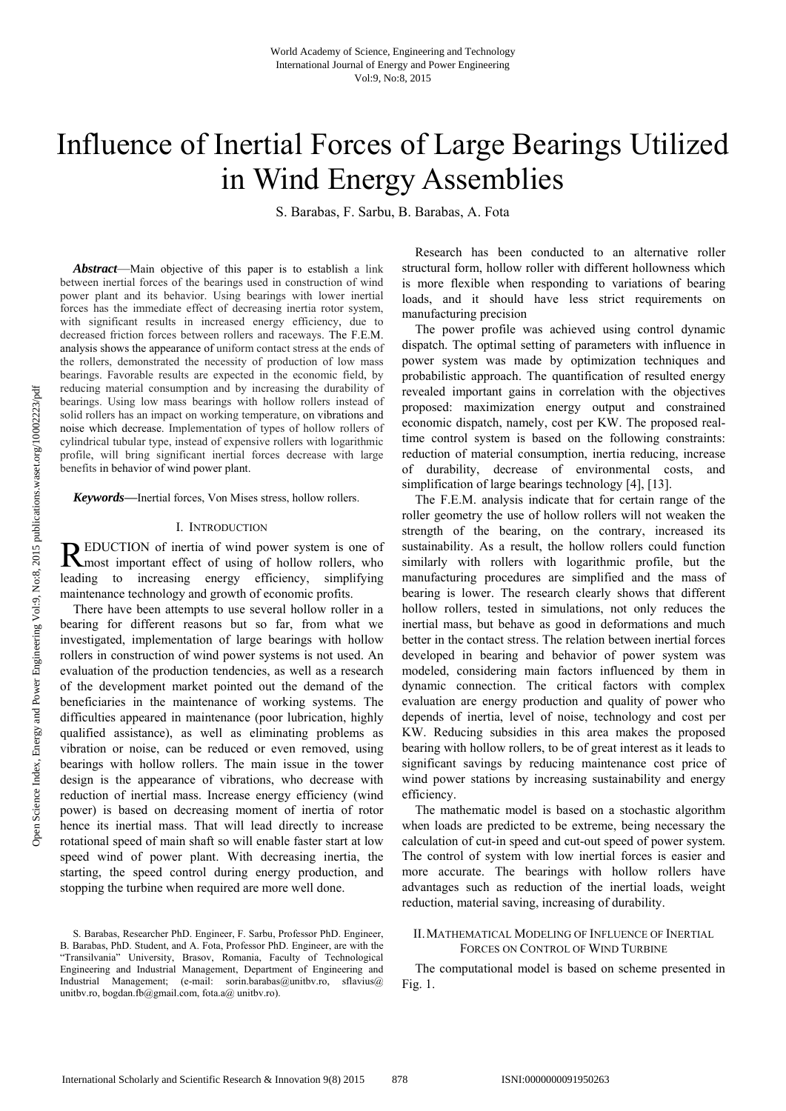# Influence of Inertial Forces of Large Bearings Utilized in Wind Energy Assemblies

S. Barabas, F. Sarbu, B. Barabas, A. Fota

*Abstract*—Main objective of this paper is to establish a link between inertial forces of the bearings used in construction of wind power plant and its behavior. Using bearings with lower inertial forces has the immediate effect of decreasing inertia rotor system, with significant results in increased energy efficiency, due to decreased friction forces between rollers and raceways. The F.E.M. analysis shows the appearance of uniform contact stress at the ends of the rollers, demonstrated the necessity of production of low mass bearings. Favorable results are expected in the economic field, by reducing material consumption and by increasing the durability of bearings. Using low mass bearings with hollow rollers instead of solid rollers has an impact on working temperature, on vibrations and noise which decrease. Implementation of types of hollow rollers of cylindrical tubular type, instead of expensive rollers with logarithmic profile, will bring significant inertial forces decrease with large benefits in behavior of wind power plant.

*Keywords***—**Inertial forces, Von Mises stress, hollow rollers.

## I. INTRODUCTION

EDUCTION of inertia of wind power system is one of REDUCTION of inertia of wind power system is one of most important effect of using of hollow rollers, who leading to increasing energy efficiency, simplifying maintenance technology and growth of economic profits.

There have been attempts to use several hollow roller in a bearing for different reasons but so far, from what we investigated, implementation of large bearings with hollow rollers in construction of wind power systems is not used. An evaluation of the production tendencies, as well as a research of the development market pointed out the demand of the beneficiaries in the maintenance of working systems. The difficulties appeared in maintenance (poor lubrication, highly qualified assistance), as well as eliminating problems as vibration or noise, can be reduced or even removed, using bearings with hollow rollers. The main issue in the tower design is the appearance of vibrations, who decrease with reduction of inertial mass. Increase energy efficiency (wind power) is based on decreasing moment of inertia of rotor hence its inertial mass. That will lead directly to increase rotational speed of main shaft so will enable faster start at low speed wind of power plant. With decreasing inertia, the starting, the speed control during energy production, and stopping the turbine when required are more well done.

S. Barabas, Researcher PhD. Engineer, F. Sarbu, Professor PhD. Engineer, B. Barabas, PhD. Student, and A. Fota, Professor PhD. Engineer, are with the "Transilvania" University, Brasov, Romania, Faculty of Technological Engineering and Industrial Management, Department of Engineering and Industrial Management; (e-mail: sorin.barabas@unitbv.ro, sflavius@ unitbv.ro, bogdan.fb@gmail.com, fota.a@ unitbv.ro).

Research has been conducted to an alternative roller structural form, hollow roller with different hollowness which is more flexible when responding to variations of bearing loads, and it should have less strict requirements on manufacturing precision

The power profile was achieved using control dynamic dispatch. The optimal setting of parameters with influence in power system was made by optimization techniques and probabilistic approach. The quantification of resulted energy revealed important gains in correlation with the objectives proposed: maximization energy output and constrained economic dispatch, namely, cost per KW. The proposed realtime control system is based on the following constraints: reduction of material consumption, inertia reducing, increase of durability, decrease of environmental costs, and simplification of large bearings technology [4], [13].

The F.E.M. analysis indicate that for certain range of the roller geometry the use of hollow rollers will not weaken the strength of the bearing, on the contrary, increased its sustainability. As a result, the hollow rollers could function similarly with rollers with logarithmic profile, but the manufacturing procedures are simplified and the mass of bearing is lower. The research clearly shows that different hollow rollers, tested in simulations, not only reduces the inertial mass, but behave as good in deformations and much better in the contact stress. The relation between inertial forces developed in bearing and behavior of power system was modeled, considering main factors influenced by them in dynamic connection. The critical factors with complex evaluation are energy production and quality of power who depends of inertia, level of noise, technology and cost per KW. Reducing subsidies in this area makes the proposed bearing with hollow rollers, to be of great interest as it leads to significant savings by reducing maintenance cost price of wind power stations by increasing sustainability and energy efficiency.

The mathematic model is based on a stochastic algorithm when loads are predicted to be extreme, being necessary the calculation of cut-in speed and cut-out speed of power system. The control of system with low inertial forces is easier and more accurate. The bearings with hollow rollers have advantages such as reduction of the inertial loads, weight reduction, material saving, increasing of durability.

# II.MATHEMATICAL MODELING OF INFLUENCE OF INERTIAL FORCES ON CONTROL OF WIND TURBINE

The computational model is based on scheme presented in Fig. 1.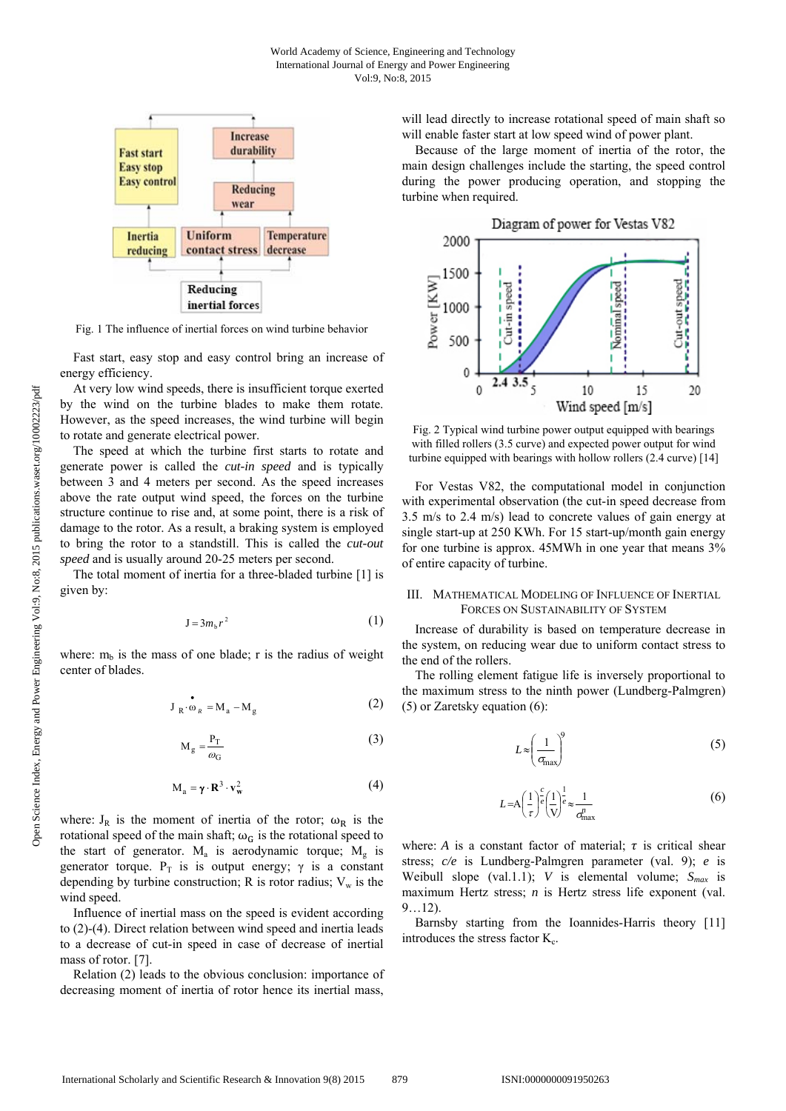

Fig. 1 The influence of inertial forces on wind turbine behavior

Fast start, easy stop and easy control bring an increase of energy efficiency.

At very low wind speeds, there is insufficient torque exerted by the wind on the turbine blades to make them rotate. However, as the speed increases, the wind turbine will begin to rotate and generate electrical power.

The speed at which the turbine first starts to rotate and generate power is called the *cut-in speed* and is typically between 3 and 4 meters per second. As the speed increases above the rate output wind speed, the forces on the turbine structure continue to rise and, at some point, there is a risk of damage to the rotor. As a result, a braking system is employed to bring the rotor to a standstill. This is called the *cut-out speed* and is usually around 20-25 meters per second.

The total moment of inertia for a three-bladed turbine [1] is given by:

$$
J = 3m_b r^2 \tag{1}
$$

where:  $m_b$  is the mass of one blade; r is the radius of weight center of blades.

$$
\mathbf{J}_{\mathbf{R}} \cdot \mathbf{\omega}_{R} = \mathbf{M}_{\mathbf{a}} - \mathbf{M}_{\mathbf{g}} \tag{2}
$$

$$
M_g = \frac{P_T}{\omega_G} \tag{3}
$$

$$
M_a = \gamma \cdot R^3 \cdot v_w^2 \tag{4}
$$

where:  $J_R$  is the moment of inertia of the rotor;  $\omega_R$  is the rotational speed of the main shaft;  $\omega_G$  is the rotational speed to the start of generator.  $M_a$  is aerodynamic torque;  $M_g$  is generator torque.  $P_T$  is is output energy;  $\gamma$  is a constant depending by turbine construction; R is rotor radius;  $V_w$  is the wind speed.

Influence of inertial mass on the speed is evident according to (2)-(4). Direct relation between wind speed and inertia leads to a decrease of cut-in speed in case of decrease of inertial mass of rotor. [7].

Relation (2) leads to the obvious conclusion: importance of decreasing moment of inertia of rotor hence its inertial mass,

will lead directly to increase rotational speed of main shaft so will enable faster start at low speed wind of power plant.

Because of the large moment of inertia of the rotor, the main design challenges include the starting, the speed control during the power producing operation, and stopping the turbine when required.



Fig. 2 Typical wind turbine power output equipped with bearings with filled rollers (3.5 curve) and expected power output for wind turbine equipped with bearings with hollow rollers (2.4 curve) [14]

For Vestas V82, the computational model in conjunction with experimental observation (the cut-in speed decrease from 3.5 m/s to 2.4 m/s) lead to concrete values of gain energy at single start-up at 250 KWh. For 15 start-up/month gain energy for one turbine is approx. 45MWh in one year that means 3% of entire capacity of turbine.

### III. MATHEMATICAL MODELING OF INFLUENCE OF INERTIAL FORCES ON SUSTAINABILITY OF SYSTEM

Increase of durability is based on temperature decrease in the system, on reducing wear due to uniform contact stress to the end of the rollers.

The rolling element fatigue life is inversely proportional to the maximum stress to the ninth power (Lundberg-Palmgren) (5) or Zaretsky equation (6):

$$
L \approx \left(\frac{1}{\sigma_{\text{max}}}\right)^9 \tag{5}
$$

$$
L = A \left(\frac{1}{\tau}\right)^c \left(\frac{1}{\mathbf{V}}\right)^{\frac{1}{c}} \approx \frac{1}{\sigma_{\text{max}}^n}
$$
 (6)

where: *A* is a constant factor of material;  $\tau$  is critical shear stress; *c/e* is Lundberg-Palmgren parameter (val. 9); *e* is Weibull slope (val.1.1); *V* is elemental volume;  $S_{max}$  is maximum Hertz stress; *n* is Hertz stress life exponent (val. 9…12).

Barnsby starting from the Ioannides-Harris theory [11] introduces the stress factor  $K_c$ .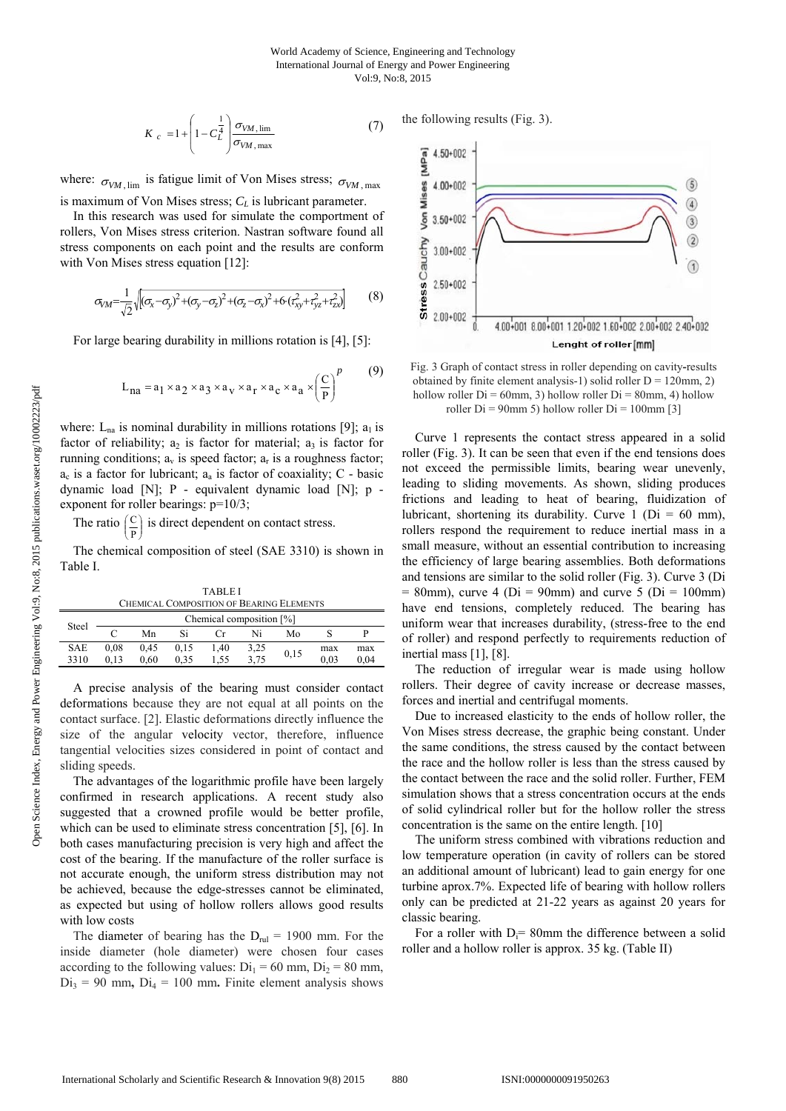the following results (Fig. 3).

$$
K_c = 1 + \left(1 - C_L^{\frac{1}{4}}\right) \frac{\sigma_{VM, \lim}}{\sigma_{VM, \max}}
$$
 (7)

where:  $\sigma_{VM \, \text{lim}}$  is fatigue limit of Von Mises stress;  $\sigma_{VM \, \text{max}}$ is maximum of Von Mises stress;  $C_L$  is lubricant parameter.

In this research was used for simulate the comportment of rollers, Von Mises stress criterion. Nastran software found all stress components on each point and the results are conform with Von Mises stress equation [12]:

$$
\sigma_{VM} = \frac{1}{\sqrt{2}} \sqrt{\left[ (\sigma_x - \sigma_y)^2 + (\sigma_y - \sigma_z)^2 + (\sigma_z - \sigma_x)^2 + 6 \left( \tau_{xy}^2 + \tau_{yz}^2 + \tau_{zx}^2 \right) \right]}
$$
(8)

For large bearing durability in millions rotation is [4], [5]:

$$
L_{na} = a_1 \times a_2 \times a_3 \times a_v \times a_r \times a_c \times a_a \times \left(\frac{C}{P}\right)^p
$$
 (9)

where:  $L_{na}$  is nominal durability in millions rotations [9];  $a_1$  is factor of reliability;  $a_2$  is factor for material;  $a_3$  is factor for running conditions;  $a_v$  is speed factor;  $a_r$  is a roughness factor;  $a_c$  is a factor for lubricant;  $a_a$  is factor of coaxiality; C - basic dynamic load [N]; P - equivalent dynamic load [N]; p exponent for roller bearings: p=10/3;

The ratio  $\left(\frac{C}{R}\right)$ Ι I ſ P  $\binom{C}{x}$  is direct dependent on contact stress.

J

l

The chemical composition of steel (SAE 3310) is shown in Table I.

TABLE I CHEMICAL COMPOSITION OF BEARING ELEMENTS Steel Chemical composition [%]<br>Chemical composition [%] C Mn Si Cr Ni Mo S P SAE 3310 0,08 0,13 0,45 0,60 0,15 0,35 1,40 1,55  $3,25$ <br> $3,75$ 3,75 0,15 max 0,03 max 0,04

A precise analysis of the bearing must consider contact deformations because they are not equal at all points on the contact surface. [2]. Elastic deformations directly influence the size of the angular velocity vector, therefore, influence tangential velocities sizes considered in point of contact and sliding speeds.

The advantages of the logarithmic profile have been largely confirmed in research applications. A recent study also suggested that a crowned profile would be better profile, which can be used to eliminate stress concentration [5], [6]. In both cases manufacturing precision is very high and affect the cost of the bearing. If the manufacture of the roller surface is not accurate enough, the uniform stress distribution may not be achieved, because the edge-stresses cannot be eliminated, as expected but using of hollow rollers allows good results with low costs

The diameter of bearing has the  $D_{\text{rel}} = 1900$  mm. For the inside diameter (hole diameter) were chosen four cases according to the following values:  $Di_1 = 60$  mm,  $Di_2 = 80$  mm,  $Di_3 = 90$  mm,  $Di_4 = 100$  mm. Finite element analysis shows



Fig. 3 Graph of contact stress in roller depending on cavity**-**results obtained by finite element analysis-1) solid roller  $D = 120$ mm, 2) hollow roller  $Di = 60$ mm, 3) hollow roller  $Di = 80$ mm, 4) hollow roller  $Di = 90$ mm 5) hollow roller  $Di = 100$ mm [3]

Curve 1 represents the contact stress appeared in a solid roller (Fig. 3). It can be seen that even if the end tensions does not exceed the permissible limits, bearing wear unevenly, leading to sliding movements. As shown, sliding produces frictions and leading to heat of bearing, fluidization of lubricant, shortening its durability. Curve 1 ( $Di = 60$  mm), rollers respond the requirement to reduce inertial mass in a small measure, without an essential contribution to increasing the efficiency of large bearing assemblies. Both deformations and tensions are similar to the solid roller (Fig. 3). Curve 3 (Di  $= 80$ mm), curve 4 (Di = 90mm) and curve 5 (Di = 100mm) have end tensions, completely reduced. The bearing has uniform wear that increases durability, (stress-free to the end of roller) and respond perfectly to requirements reduction of inertial mass [1], [8].

The reduction of irregular wear is made using hollow rollers. Their degree of cavity increase or decrease masses, forces and inertial and centrifugal moments.

Due to increased elasticity to the ends of hollow roller, the Von Mises stress decrease, the graphic being constant. Under the same conditions, the stress caused by the contact between the race and the hollow roller is less than the stress caused by the contact between the race and the solid roller. Further, FEM simulation shows that a stress concentration occurs at the ends of solid cylindrical roller but for the hollow roller the stress concentration is the same on the entire length. [10]

The uniform stress combined with vibrations reduction and low temperature operation (in cavity of rollers can be stored an additional amount of lubricant) lead to gain energy for one turbine aprox.7%. Expected life of bearing with hollow rollers only can be predicted at 21-22 years as against 20 years for classic bearing.

For a roller with  $D = 80$ mm the difference between a solid roller and a hollow roller is approx. 35 kg. (Table II)